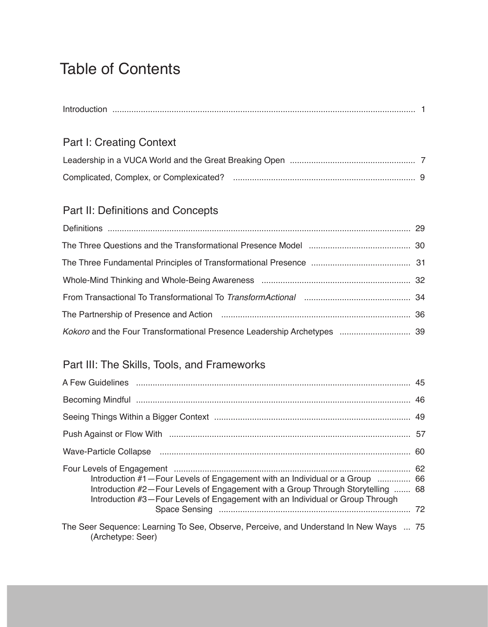# Table of Contents

| Introc |  |
|--------|--|
|        |  |

### Part I: Creating Context

### Part II: Definitions and Concepts

| The Partnership of Presence and Action (1000) (1000) (1000) (1000) (1000) (1000) (1000) (1000) (1000) (1000) ( |  |
|----------------------------------------------------------------------------------------------------------------|--|
|                                                                                                                |  |

### Part III: The Skills, Tools, and Frameworks

| Wave-Particle Collapse (and all and the collection of the collection of the collection of the collection of the                                                                                                                                   |  |
|---------------------------------------------------------------------------------------------------------------------------------------------------------------------------------------------------------------------------------------------------|--|
| Introduction #1 – Four Levels of Engagement with an Individual or a Group  66<br>Introduction #2-Four Levels of Engagement with a Group Through Storytelling  68<br>Introduction #3-Four Levels of Engagement with an Individual or Group Through |  |
| The Seer Sequence: Learning To See, Observe, Perceive, and Understand In New Ways  75<br>(Archetype: Seer)                                                                                                                                        |  |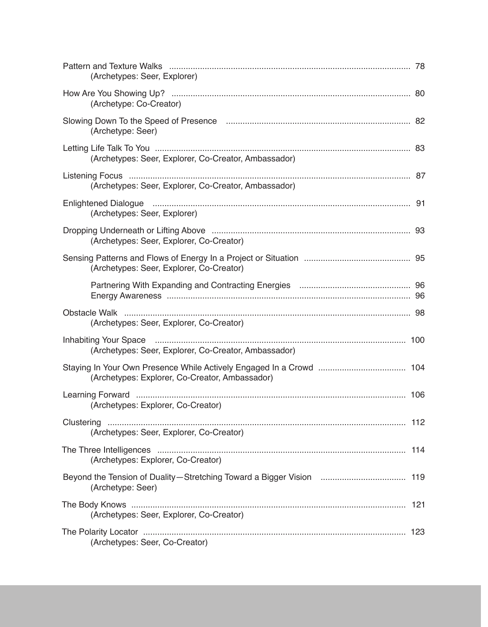| (Archetypes: Seer, Explorer)                         |  |
|------------------------------------------------------|--|
| (Archetype: Co-Creator)                              |  |
| (Archetype: Seer)                                    |  |
| (Archetypes: Seer, Explorer, Co-Creator, Ambassador) |  |
| (Archetypes: Seer, Explorer, Co-Creator, Ambassador) |  |
| (Archetypes: Seer, Explorer)                         |  |
| (Archetypes: Seer, Explorer, Co-Creator)             |  |
| (Archetypes: Seer, Explorer, Co-Creator)             |  |
|                                                      |  |
| (Archetypes: Seer, Explorer, Co-Creator)             |  |
| (Archetypes: Seer, Explorer, Co-Creator, Ambassador) |  |
| (Archetypes: Explorer, Co-Creator, Ambassador)       |  |
| (Archetypes: Explorer, Co-Creator)                   |  |
| 112<br>(Archetypes: Seer, Explorer, Co-Creator)      |  |
| (Archetypes: Explorer, Co-Creator)                   |  |
| (Archetype: Seer)                                    |  |
| (Archetypes: Seer, Explorer, Co-Creator)             |  |
| (Archetypes: Seer, Co-Creator)                       |  |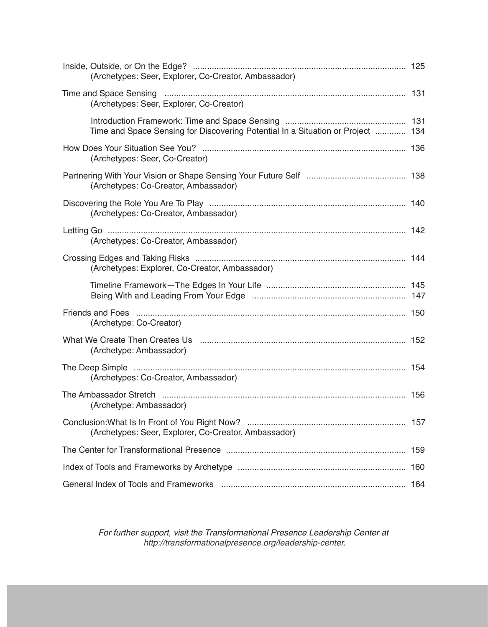| (Archetypes: Seer, Explorer, Co-Creator, Ambassador)                            |  |
|---------------------------------------------------------------------------------|--|
| (Archetypes: Seer, Explorer, Co-Creator)                                        |  |
| Time and Space Sensing for Discovering Potential In a Situation or Project  134 |  |
| (Archetypes: Seer, Co-Creator)                                                  |  |
| (Archetypes: Co-Creator, Ambassador)                                            |  |
| (Archetypes: Co-Creator, Ambassador)                                            |  |
| (Archetypes: Co-Creator, Ambassador)                                            |  |
| (Archetypes: Explorer, Co-Creator, Ambassador)                                  |  |
|                                                                                 |  |
| (Archetype: Co-Creator)                                                         |  |
| (Archetype: Ambassador)                                                         |  |
| (Archetypes: Co-Creator, Ambassador)                                            |  |
| (Archetype: Ambassador)                                                         |  |
| (Archetypes: Seer, Explorer, Co-Creator, Ambassador)                            |  |
|                                                                                 |  |
|                                                                                 |  |
|                                                                                 |  |

*For further support, visit the Transformational Presence Leadership Center at http://transformationalpresence.org/leadership-center.*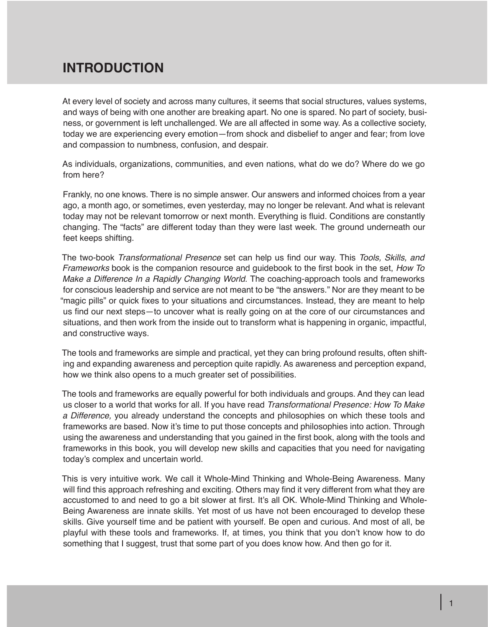# **INTRODUCTION**

At every level of society and across many cultures, it seems that social structures, values systems, and ways of being with one another are breaking apart. No one is spared. No part of society, business, or government is left unchallenged. We are all affected in some way. As a collective society, today we are experiencing every emotion—from shock and disbelief to anger and fear; from love and compassion to numbness, confusion, and despair.

As individuals, organizations, communities, and even nations, what do we do? Where do we go from here?

Frankly, no one knows. There is no simple answer. Our answers and informed choices from a year ago, a month ago, or sometimes, even yesterday, may no longer be relevant. And what is relevant today may not be relevant tomorrow or next month. Everything is fluid. Conditions are constantly changing. The "facts" are different today than they were last week. The ground underneath our feet keeps shifting.

The two-book *Transformational Presence* set can help us find our way. This *Tools, Skills, and Frameworks* book is the companion resource and guidebook to the first book in the set, *How To Make a Difference In a Rapidly Changing World.* The coaching-approach tools and frameworks for conscious leadership and service are not meant to be "the answers." Nor are they meant to be "magic pills" or quick fixes to your situations and circumstances. Instead, they are meant to help us find our next steps—to uncover what is really going on at the core of our circumstances and situations, and then work from the inside out to transform what is happening in organic, impactful, and constructive ways.

The tools and frameworks are simple and practical, yet they can bring profound results, often shifting and expanding awareness and perception quite rapidly. As awareness and perception expand, how we think also opens to a much greater set of possibilities.

The tools and frameworks are equally powerful for both individuals and groups. And they can lead us closer to a world that works for all. If you have read *Transformational Presence: How To Make a Difference,* you already understand the concepts and philosophies on which these tools and frameworks are based. Now it's time to put those concepts and philosophies into action. Through using the awareness and understanding that you gained in the first book, along with the tools and frameworks in this book, you will develop new skills and capacities that you need for navigating today's complex and uncertain world.

This is very intuitive work. We call it Whole-Mind Thinking and Whole-Being Awareness. Many will find this approach refreshing and exciting. Others may find it very different from what they are accustomed to and need to go a bit slower at first. It's all OK. Whole-Mind Thinking and Whole-Being Awareness are innate skills. Yet most of us have not been encouraged to develop these skills. Give yourself time and be patient with yourself. Be open and curious. And most of all, be playful with these tools and frameworks. If, at times, you think that you don't know how to do something that I suggest, trust that some part of you does know how. And then go for it.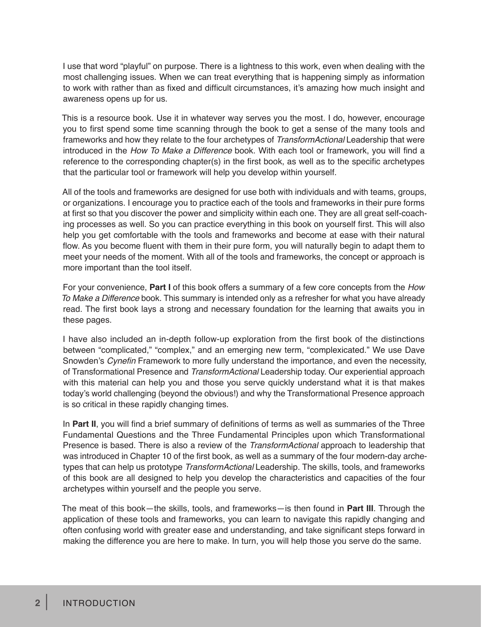I use that word "playful" on purpose. There is a lightness to this work, even when dealing with the most challenging issues. When we can treat everything that is happening simply as information to work with rather than as fixed and difficult circumstances, it's amazing how much insight and awareness opens up for us.

This is a resource book. Use it in whatever way serves you the most. I do, however, encourage you to first spend some time scanning through the book to get a sense of the many tools and frameworks and how they relate to the four archetypes of *TransformActional* Leadership that were introduced in the *How To Make a Difference* book. With each tool or framework, you will find a reference to the corresponding chapter(s) in the first book, as well as to the specific archetypes that the particular tool or framework will help you develop within yourself.

All of the tools and frameworks are designed for use both with individuals and with teams, groups, or organizations. I encourage you to practice each of the tools and frameworks in their pure forms at first so that you discover the power and simplicity within each one. They are all great self-coaching processes as well. So you can practice everything in this book on yourself first. This will also help you get comfortable with the tools and frameworks and become at ease with their natural flow. As you become fluent with them in their pure form, you will naturally begin to adapt them to meet your needs of the moment. With all of the tools and frameworks, the concept or approach is more important than the tool itself.

For your convenience, **Part I** of this book offers a summary of a few core concepts from the *How To Make a Difference* book. This summary is intended only as a refresher for what you have already read. The first book lays a strong and necessary foundation for the learning that awaits you in these pages.

I have also included an in-depth follow-up exploration from the first book of the distinctions between "complicated," "complex," and an emerging new term, "complexicated." We use Dave Snowden's Cynefin Framework to more fully understand the importance, and even the necessity, of Transformational Presence and *TransformActional* Leadership today. Our experiential approach with this material can help you and those you serve quickly understand what it is that makes today's world challenging (beyond the obvious!) and why the Transformational Presence approach is so critical in these rapidly changing times.

In **Part II**, you will find a brief summary of definitions of terms as well as summaries of the Three Fundamental Questions and the Three Fundamental Principles upon which Transformational Presence is based. There is also a review of the *TransformActional* approach to leadership that was introduced in Chapter 10 of the first book, as well as a summary of the four modern-day archetypes that can help us prototype *TransformActional* Leadership*.* The skills, tools, and frameworks of this book are all designed to help you develop the characteristics and capacities of the four archetypes within yourself and the people you serve.

The meat of this book—the skills, tools, and frameworks—is then found in **Part III**. Through the application of these tools and frameworks, you can learn to navigate this rapidly changing and often confusing world with greater ease and understanding, and take significant steps forward in making the difference you are here to make. In turn, you will help those you serve do the same.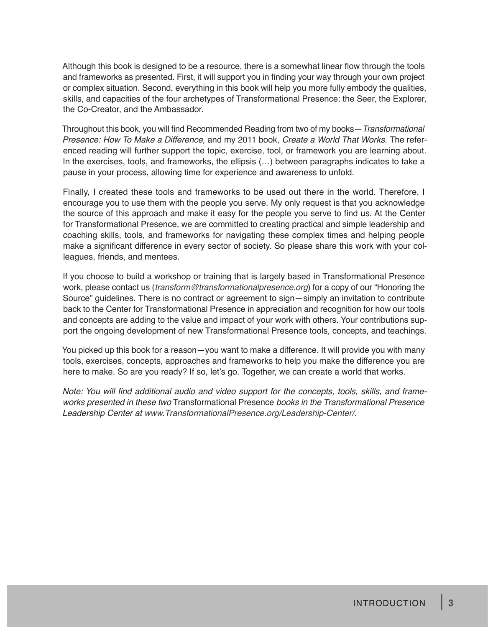Although this book is designed to be a resource, there is a somewhat linear flow through the tools and frameworks as presented. First, it will support you in finding your way through your own project or complex situation. Second, everything in this book will help you more fully embody the qualities, skills, and capacities of the four archetypes of Transformational Presence: the Seer, the Explorer, the Co-Creator, and the Ambassador.

Throughout this book, you will find Recommended Reading from two of my books—*Transformational Presence: How To Make a Difference,* and my 2011 book, *Create a World That Works.* The referenced reading will further support the topic, exercise, tool, or framework you are learning about. In the exercises, tools, and frameworks, the ellipsis (…) between paragraphs indicates to take a pause in your process, allowing time for experience and awareness to unfold.

Finally, I created these tools and frameworks to be used out there in the world. Therefore, I encourage you to use them with the people you serve. My only request is that you acknowledge the source of this approach and make it easy for the people you serve to find us. At the Center for Transformational Presence, we are committed to creating practical and simple leadership and coaching skills, tools, and frameworks for navigating these complex times and helping people make a significant difference in every sector of society. So please share this work with your colleagues, friends, and mentees.

If you choose to build a workshop or training that is largely based in Transformational Presence work, please contact us (*transform@transformationalpresence.org*) for a copy of our "Honoring the Source" guidelines. There is no contract or agreement to sign—simply an invitation to contribute back to the Center for Transformational Presence in appreciation and recognition for how our tools and concepts are adding to the value and impact of your work with others. Your contributions support the ongoing development of new Transformational Presence tools, concepts, and teachings.

You picked up this book for a reason—you want to make a difference. It will provide you with many tools, exercises, concepts, approaches and frameworks to help you make the difference you are here to make. So are you ready? If so, let's go. Together, we can create a world that works.

Note: You will find additional audio and video support for the concepts, tools, skills, and frame*works presented in these two* Transformational Presence *books in the Transformational Presence Leadership Center at www.TransformationalPresence.org/Leadership-Center/.*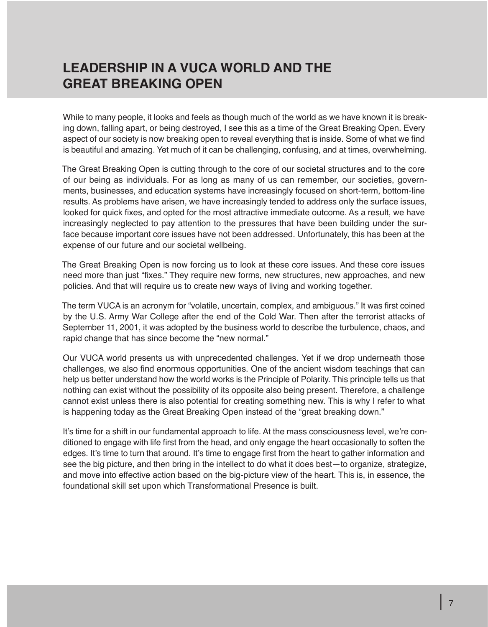# **LEADERSHIP IN A VUCA WORLD AND THE GREAT BREAKING OPEN**

While to many people, it looks and feels as though much of the world as we have known it is breaking down, falling apart, or being destroyed, I see this as a time of the Great Breaking Open. Every aspect of our society is now breaking open to reveal everything that is inside. Some of what we find is beautiful and amazing. Yet much of it can be challenging, confusing, and at times, overwhelming.

The Great Breaking Open is cutting through to the core of our societal structures and to the core of our being as individuals. For as long as many of us can remember, our societies, governments, businesses, and education systems have increasingly focused on short-term, bottom-line results. As problems have arisen, we have increasingly tended to address only the surface issues, looked for quick fixes, and opted for the most attractive immediate outcome. As a result, we have increasingly neglected to pay attention to the pressures that have been building under the surface because important core issues have not been addressed. Unfortunately, this has been at the expense of our future and our societal wellbeing.

The Great Breaking Open is now forcing us to look at these core issues. And these core issues need more than just "fixes." They require new forms, new structures, new approaches, and new policies. And that will require us to create new ways of living and working together.

The term VUCA is an acronym for "volatile, uncertain, complex, and ambiguous." It was first coined by the U.S. Army War College after the end of the Cold War. Then after the terrorist attacks of September 11, 2001, it was adopted by the business world to describe the turbulence, chaos, and rapid change that has since become the "new normal."

Our VUCA world presents us with unprecedented challenges. Yet if we drop underneath those challenges, we also find enormous opportunities. One of the ancient wisdom teachings that can help us better understand how the world works is the Principle of Polarity. This principle tells us that nothing can exist without the possibility of its opposite also being present. Therefore, a challenge cannot exist unless there is also potential for creating something new. This is why I refer to what is happening today as the Great Breaking Open instead of the "great breaking down."

It's time for a shift in our fundamental approach to life. At the mass consciousness level, we're conditioned to engage with life first from the head, and only engage the heart occasionally to soften the edges. It's time to turn that around. It's time to engage first from the heart to gather information and see the big picture, and then bring in the intellect to do what it does best—to organize, strategize, and move into effective action based on the big-picture view of the heart. This is, in essence, the foundational skill set upon which Transformational Presence is built.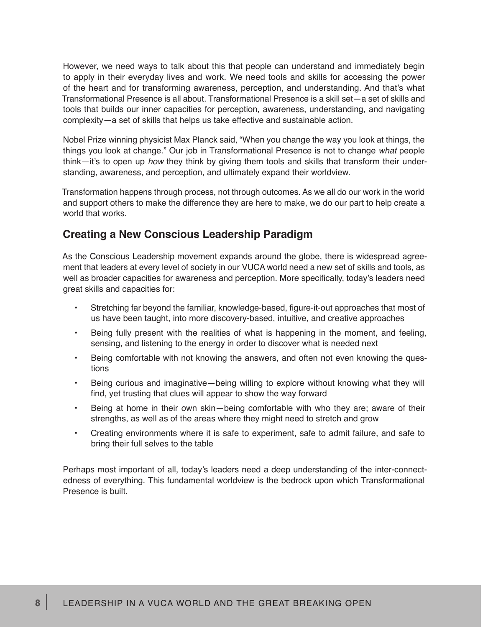However, we need ways to talk about this that people can understand and immediately begin to apply in their everyday lives and work. We need tools and skills for accessing the power of the heart and for transforming awareness, perception, and understanding. And that's what Transformational Presence is all about. Transformational Presence is a skill set—a set of skills and tools that builds our inner capacities for perception, awareness, understanding, and navigating complexity—a set of skills that helps us take effective and sustainable action.

Nobel Prize winning physicist Max Planck said, "When you change the way you look at things, the things you look at change." Our job in Transformational Presence is not to change *what* people think—it's to open up *how* they think by giving them tools and skills that transform their understanding, awareness, and perception, and ultimately expand their worldview.

Transformation happens through process, not through outcomes. As we all do our work in the world and support others to make the difference they are here to make, we do our part to help create a world that works.

#### **Creating a New Conscious Leadership Paradigm**

As the Conscious Leadership movement expands around the globe, there is widespread agreement that leaders at every level of society in our VUCA world need a new set of skills and tools, as well as broader capacities for awareness and perception. More specifically, today's leaders need great skills and capacities for:

- Stretching far beyond the familiar, knowledge-based, figure-it-out approaches that most of us have been taught, into more discovery-based, intuitive, and creative approaches
- Being fully present with the realities of what is happening in the moment, and feeling, sensing, and listening to the energy in order to discover what is needed next
- Being comfortable with not knowing the answers, and often not even knowing the questions
- Being curious and imaginative—being willing to explore without knowing what they will find, yet trusting that clues will appear to show the way forward
- Being at home in their own skin-being comfortable with who they are; aware of their strengths, as well as of the areas where they might need to stretch and grow
- Creating environments where it is safe to experiment, safe to admit failure, and safe to bring their full selves to the table

Perhaps most important of all, today's leaders need a deep understanding of the inter-connectedness of everything. This fundamental worldview is the bedrock upon which Transformational Presence is built.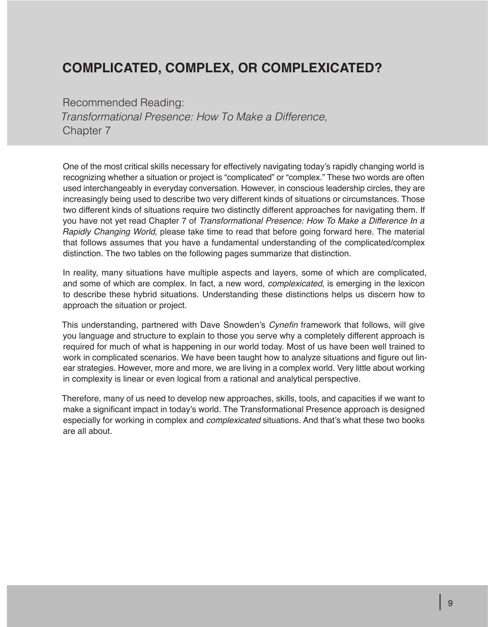# **COMPLICATED, COMPLEX, OR COMPLEXICATED?**

Recommended Reading: *Transformational Presence: How To Make a Difference,*  Chapter 7

One of the most critical skills necessary for effectively navigating today's rapidly changing world is recognizing whether a situation or project is "complicated" or "complex." These two words are often used interchangeably in everyday conversation. However, in conscious leadership circles, they are increasingly being used to describe two very different kinds of situations or circumstances. Those two different kinds of situations require two distinctly different approaches for navigating them. If you have not yet read Chapter 7 of *Transformational Presence: How To Make a Difference In a Rapidly Changing World,* please take time to read that before going forward here. The material that follows assumes that you have a fundamental understanding of the complicated/complex distinction. The two tables on the following pages summarize that distinction.

In reality, many situations have multiple aspects and layers, some of which are complicated, and some of which are complex. In fact, a new word, *complexicated*, is emerging in the lexicon to describe these hybrid situations. Understanding these distinctions helps us discern how to approach the situation or project.

This understanding, partnered with Dave Snowden's Cynefin framework that follows, will give you language and structure to explain to those you serve why a completely different approach is required for much of what is happening in our world today. Most of us have been well trained to work in complicated scenarios. We have been taught how to analyze situations and figure out linear strategies. However, more and more, we are living in a complex world. Very little about working in complexity is linear or even logical from a rational and analytical perspective.

Therefore, many of us need to develop new approaches, skills, tools, and capacities if we want to make a significant impact in today's world. The Transformational Presence approach is designed especially for working in complex and *complexicated* situations. And that's what these two books are all about.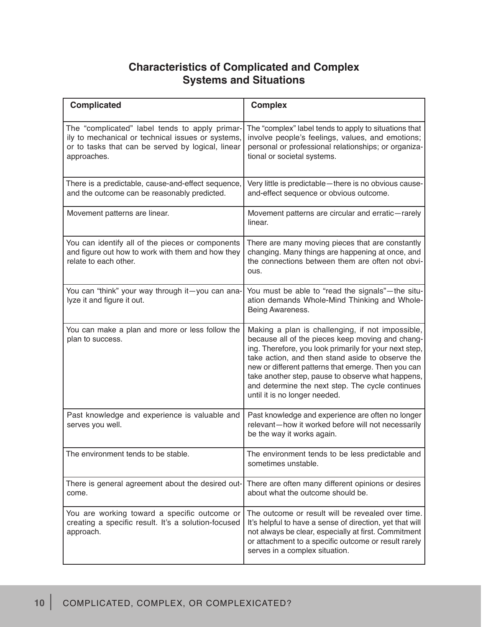#### **Characteristics of Complicated and Complex Systems and Situations**

| <b>Complicated</b>                                                                                                                                                      | <b>Complex</b>                                                                                                                                                                                                                                                                                                                                                                                                      |
|-------------------------------------------------------------------------------------------------------------------------------------------------------------------------|---------------------------------------------------------------------------------------------------------------------------------------------------------------------------------------------------------------------------------------------------------------------------------------------------------------------------------------------------------------------------------------------------------------------|
| The "complicated" label tends to apply primar-<br>ily to mechanical or technical issues or systems,<br>or to tasks that can be served by logical, linear<br>approaches. | The "complex" label tends to apply to situations that<br>involve people's feelings, values, and emotions;<br>personal or professional relationships; or organiza-<br>tional or societal systems.                                                                                                                                                                                                                    |
| There is a predictable, cause-and-effect sequence,<br>and the outcome can be reasonably predicted.                                                                      | Very little is predictable-there is no obvious cause-<br>and-effect sequence or obvious outcome.                                                                                                                                                                                                                                                                                                                    |
| Movement patterns are linear.                                                                                                                                           | Movement patterns are circular and erratic-rarely<br>linear.                                                                                                                                                                                                                                                                                                                                                        |
| You can identify all of the pieces or components<br>and figure out how to work with them and how they<br>relate to each other.                                          | There are many moving pieces that are constantly<br>changing. Many things are happening at once, and<br>the connections between them are often not obvi-<br>ous.                                                                                                                                                                                                                                                    |
| You can "think" your way through it-you can ana-<br>lyze it and figure it out.                                                                                          | You must be able to "read the signals"-the situ-<br>ation demands Whole-Mind Thinking and Whole-<br>Being Awareness.                                                                                                                                                                                                                                                                                                |
| You can make a plan and more or less follow the<br>plan to success.                                                                                                     | Making a plan is challenging, if not impossible,<br>because all of the pieces keep moving and chang-<br>ing. Therefore, you look primarily for your next step,<br>take action, and then stand aside to observe the<br>new or different patterns that emerge. Then you can<br>take another step, pause to observe what happens,<br>and determine the next step. The cycle continues<br>until it is no longer needed. |
| Past knowledge and experience is valuable and<br>serves you well.                                                                                                       | Past knowledge and experience are often no longer<br>relevant-how it worked before will not necessarily<br>be the way it works again.                                                                                                                                                                                                                                                                               |
| The environment tends to be stable.                                                                                                                                     | The environment tends to be less predictable and<br>sometimes unstable.                                                                                                                                                                                                                                                                                                                                             |
| There is general agreement about the desired out-<br>come.                                                                                                              | There are often many different opinions or desires<br>about what the outcome should be.                                                                                                                                                                                                                                                                                                                             |
| You are working toward a specific outcome or<br>creating a specific result. It's a solution-focused<br>approach.                                                        | The outcome or result will be revealed over time.<br>It's helpful to have a sense of direction, yet that will<br>not always be clear, especially at first. Commitment<br>or attachment to a specific outcome or result rarely<br>serves in a complex situation.                                                                                                                                                     |